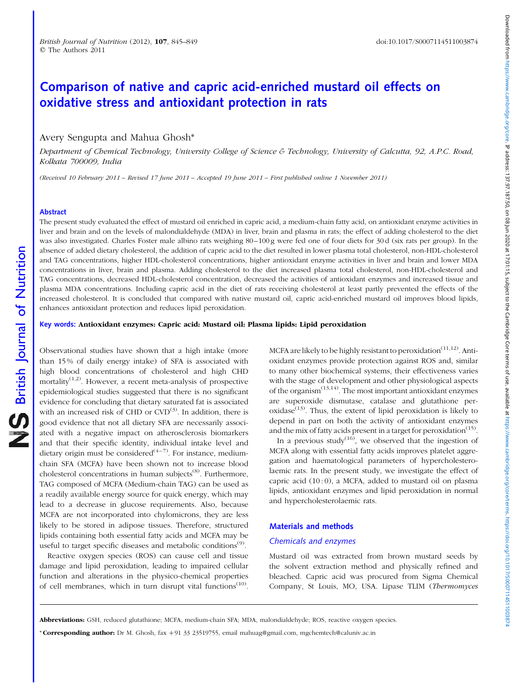# Downloaded from https://www.cambridge.org/core. IP address: 137.97.187.00, on 08 Jun 2020 at 17:01:15, aubject to the Cambridge Core terms of use, available at https://www.cambridge.ore terms.org/core/terms.intps://www.cam Downloaded from https://www.cambridge.org/core. IP address: 137.97.8.17.0.1.0. July 2020 at 17:01:15, subject or terms of use, available at https://www.cambridge.org/core/terms.core terms of use, available at https://www.c

# Comparison of native and capric acid-enriched mustard oil effects on oxidative stress and antioxidant protection in rats

# Avery Sengupta and Mahua Ghosh\*

Department of Chemical Technology, University College of Science & Technology, University of Calcutta, 92, A.P.C. Road, Kolkata 700009, India

(Received 10 February 2011 – Revised 17 June 2011 – Accepted 19 June 2011 – First published online 1 November 2011)

# Abstract

The present study evaluated the effect of mustard oil enriched in capric acid, a medium-chain fatty acid, on antioxidant enzyme activities in liver and brain and on the levels of malondialdehyde (MDA) in liver, brain and plasma in rats; the effect of adding cholesterol to the diet was also investigated. Charles Foster male albino rats weighing 80–100 g were fed one of four diets for 30 d (six rats per group). In the absence of added dietary cholesterol, the addition of capric acid to the diet resulted in lower plasma total cholesterol, non-HDL-cholesterol and TAG concentrations, higher HDL-cholesterol concentrations, higher antioxidant enzyme activities in liver and brain and lower MDA concentrations in liver, brain and plasma. Adding cholesterol to the diet increased plasma total cholesterol, non-HDL-cholesterol and TAG concentrations, decreased HDL-cholesterol concentration, decreased the activities of antioxidant enzymes and increased tissue and plasma MDA concentrations. Including capric acid in the diet of rats receiving cholesterol at least partly prevented the effects of the increased cholesterol. It is concluded that compared with native mustard oil, capric acid-enriched mustard oil improves blood lipids, enhances antioxidant protection and reduces lipid peroxidation.

### Key words: Antioxidant enzymes: Capric acid: Mustard oil: Plasma lipids: Lipid peroxidation

Observational studies have shown that a high intake (more than 15 % of daily energy intake) of SFA is associated with high blood concentrations of cholesterol and high CHD mortality $(1,2)$ . However, a recent meta-analysis of prospective epidemiological studies suggested that there is no significant evidence for concluding that dietary saturated fat is associated with an increased risk of CHD or  $CVD^{(3)}$ . In addition, there is good evidence that not all dietary SFA are necessarily associated with a negative impact on atherosclerosis biomarkers and that their specific identity, individual intake level and dietary origin must be considered<sup>(4-7)</sup>. For instance, mediumchain SFA (MCFA) have been shown not to increase blood cholesterol concentrations in human subjects<sup> $(8)$ </sup>. Furthermore, TAG composed of MCFA (Medium-chain TAG) can be used as a readily available energy source for quick energy, which may lead to a decrease in glucose requirements. Also, because MCFA are not incorporated into chylomicrons, they are less likely to be stored in adipose tissues. Therefore, structured lipids containing both essential fatty acids and MCFA may be useful to target specific diseases and metabolic conditions<sup> $(9)$ </sup>.

Reactive oxygen species (ROS) can cause cell and tissue damage and lipid peroxidation, leading to impaired cellular function and alterations in the physico-chemical properties of cell membranes, which in turn disrupt vital functions<sup>(10)</sup>. MCFA are likely to be highly resistant to peroxidation<sup> $(11,12)$ </sup>. Antioxidant enzymes provide protection against ROS and, similar to many other biochemical systems, their effectiveness varies with the stage of development and other physiological aspects of the organism $(13,14)$ . The most important antioxidant enzymes are superoxide dismutase, catalase and glutathione per $oxidase<sup>(13)</sup>$ . Thus, the extent of lipid peroxidation is likely to depend in part on both the activity of antioxidant enzymes and the mix of fatty acids present in a target for peroxidation<sup> $(15)$ </sup>.

In a previous study<sup> $(16)$ </sup>, we observed that the ingestion of MCFA along with essential fatty acids improves platelet aggregation and haematological parameters of hypercholesterolaemic rats. In the present study, we investigate the effect of capric acid  $(10:0)$ , a MCFA, added to mustard oil on plasma lipids, antioxidant enzymes and lipid peroxidation in normal and hypercholesterolaemic rats.

# Materials and methods

# Chemicals and enzymes

Mustard oil was extracted from brown mustard seeds by the solvent extraction method and physically refined and bleached. Capric acid was procured from Sigma Chemical Company, St Louis, MO, USA. Lipase TLIM (Thermomyces

\* Corresponding author: Dr M. Ghosh, fax +91 33 23519755, email mahuag@gmail.com, mgchemtech@caluniv.ac.in

Abbreviations: GSH, reduced glutathione; MCFA, medium-chain SFA; MDA, malondialdehyde; ROS, reactive oxygen species.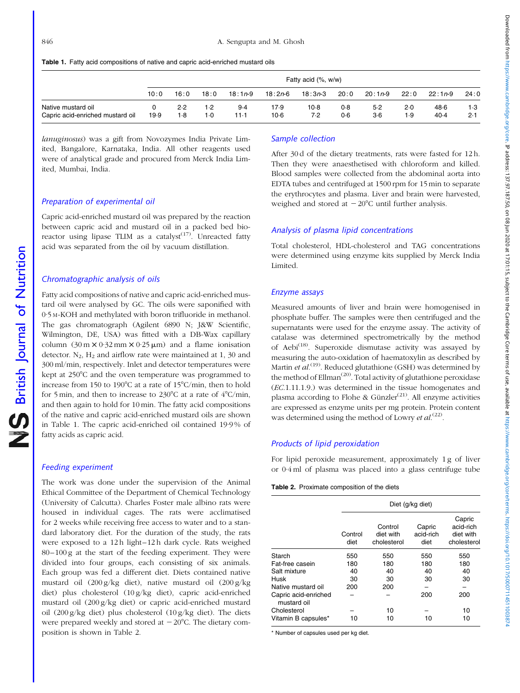|  |  | Table 1. Fatty acid compositions of native and capric acid-enriched mustard oils |  |  |  |  |  |
|--|--|----------------------------------------------------------------------------------|--|--|--|--|--|
|--|--|----------------------------------------------------------------------------------|--|--|--|--|--|

|                                                        | Fatty acid (%, w/w) |            |              |             |                  |               |            |                |              |              |            |
|--------------------------------------------------------|---------------------|------------|--------------|-------------|------------------|---------------|------------|----------------|--------------|--------------|------------|
|                                                        | 10:0                | 16:0       | 18:0         | $18:1n-9$   | 18:2 <i>n</i> -6 | $18:3n-3$     | 20:0       | $20:1n-9$      | 22:0         | $22:1n-9$    | 24:0       |
| Native mustard oil<br>Capric acid-enriched mustard oil | 19.9                | 2.2<br>1.8 | 1.2<br>$1-0$ | 9.4<br>11-1 | 17.9<br>$10-6$   | $10-8$<br>7.2 | 0.8<br>0.6 | $5-2$<br>$3-6$ | $2-0$<br>1.9 | 48.6<br>40.4 | 1.3<br>2.1 |

lanuginosus) was a gift from Novozymes India Private Limited, Bangalore, Karnataka, India. All other reagents used were of analytical grade and procured from Merck India Limited, Mumbai, India.

# Preparation of experimental oil

Capric acid-enriched mustard oil was prepared by the reaction between capric acid and mustard oil in a packed bed bioreactor using lipase TLIM as a catalyst<sup> $(17)$ </sup>. Unreacted fatty acid was separated from the oil by vacuum distillation.

# Chromatographic analysis of oils

Fatty acid compositions of native and capric acid-enriched mustard oil were analysed by GC. The oils were saponified with 0·5 M-KOH and methylated with boron trifluoride in methanol. The gas chromatograph (Agilent 6890 N; J&W Scientific, Wilmington, DE, USA) was fitted with a DB-Wax capillary column  $(30 \text{ m} \times 0.32 \text{ mm} \times 0.25 \text{ \mu m})$  and a flame ionisation detector.  $N_2$ ,  $H_2$  and airflow rate were maintained at 1, 30 and 300 ml/min, respectively. Inlet and detector temperatures were kept at 250°C and the oven temperature was programmed to increase from 150 to 190 $\degree$ C at a rate of 15 $\degree$ C/min, then to hold for 5 min, and then to increase to  $230^{\circ}$ C at a rate of  $4^{\circ}$ C/min, and then again to hold for 10 min. The fatty acid compositions of the native and capric acid-enriched mustard oils are shown in Table 1. The capric acid-enriched oil contained 19·9 % of fatty acids as capric acid.

# Feeding experiment

The work was done under the supervision of the Animal Ethical Committee of the Department of Chemical Technology (University of Calcutta). Charles Foster male albino rats were housed in individual cages. The rats were acclimatised for 2 weeks while receiving free access to water and to a standard laboratory diet. For the duration of the study, the rats were exposed to a 12 h light–12 h dark cycle. Rats weighed 80–100 g at the start of the feeding experiment. They were divided into four groups, each consisting of six animals. Each group was fed a different diet. Diets contained native mustard oil (200 g/kg diet), native mustard oil (200 g/kg diet) plus cholesterol (10 g/kg diet), capric acid-enriched mustard oil (200 g/kg diet) or capric acid-enriched mustard oil (200 g/kg diet) plus cholesterol (10 g/kg diet). The diets were prepared weekly and stored at  $-20^{\circ}$ C. The dietary composition is shown in Table 2.

# Sample collection

After 30 d of the dietary treatments, rats were fasted for 12 h. Then they were anaesthetised with chloroform and killed. Blood samples were collected from the abdominal aorta into EDTA tubes and centrifuged at 1500 rpm for 15 min to separate the erythrocytes and plasma. Liver and brain were harvested, weighed and stored at  $-20^{\circ}$ C until further analysis.

### Analysis of plasma lipid concentrations

Total cholesterol, HDL-cholesterol and TAG concentrations were determined using enzyme kits supplied by Merck India Limited.

#### Enzyme assays

Measured amounts of liver and brain were homogenised in phosphate buffer. The samples were then centrifuged and the supernatants were used for the enzyme assay. The activity of catalase was determined spectrometrically by the method of Aebi<sup>(18)</sup>. Superoxide dismutase activity was assayed by measuring the auto-oxidation of haematoxylin as described by Martin *et al.*<sup>(19)</sup>. Reduced glutathione (GSH) was determined by the method of Ellman<sup> $(20)$ </sup>. Total activity of glutathione peroxidase (EC.1.11.1.9.) was determined in the tissue homogenates and plasma according to Flohe & Günzler<sup>(21)</sup>. All enzyme activities are expressed as enzyme units per mg protein. Protein content was determined using the method of Lowry et  $al^{(22)}$ .

# Products of lipid peroxidation

For lipid peroxide measurement, approximately 1 g of liver or 0·4 ml of plasma was placed into a glass centrifuge tube

Table 2. Proximate composition of the diets

|                                     |                 | Diet (g/kg diet)                    |                             |                                                 |  |  |  |  |  |  |
|-------------------------------------|-----------------|-------------------------------------|-----------------------------|-------------------------------------------------|--|--|--|--|--|--|
|                                     | Control<br>diet | Control<br>diet with<br>cholesterol | Capric<br>acid-rich<br>diet | Capric<br>acid-rich<br>diet with<br>cholesterol |  |  |  |  |  |  |
| Starch                              | 550             | 550                                 | 550                         | 550                                             |  |  |  |  |  |  |
| Fat-free casein                     | 180             | 180                                 | 180                         | 180                                             |  |  |  |  |  |  |
| Salt mixture                        | 40              | 40                                  | 40                          | 40                                              |  |  |  |  |  |  |
| Husk                                | 30              | 30                                  | 30                          | 30                                              |  |  |  |  |  |  |
| Native mustard oil                  | 200             | 200                                 |                             |                                                 |  |  |  |  |  |  |
| Capric acid-enriched<br>mustard oil |                 |                                     | 200                         | 200                                             |  |  |  |  |  |  |
| Cholesterol                         |                 | 10                                  |                             | 10                                              |  |  |  |  |  |  |
| Vitamin B capsules*                 | 10              | 10                                  | 10                          | 10                                              |  |  |  |  |  |  |

\* Number of capsules used per kg diet.

British Journal of Nutrition

NS British Journal of Nutrition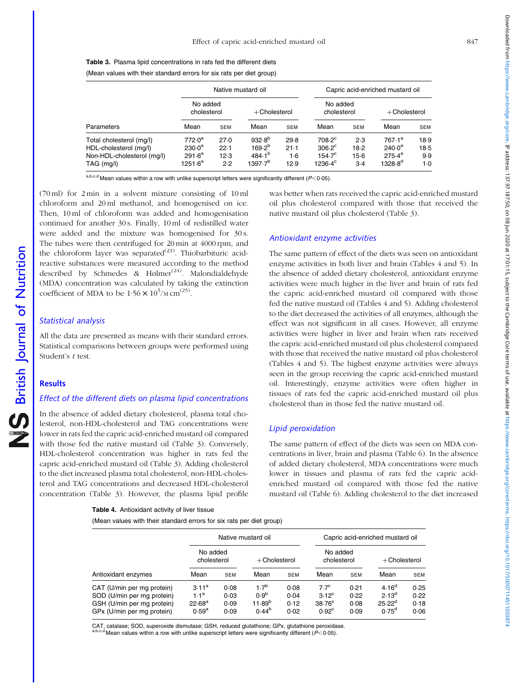(Mean values with their standard errors for six rats per diet group)

|                                                                                                |                                                            |                             | Native mustard oil                                      |                             |                                                                         |                                | Capric acid-enriched mustard oil                                   |                                |  |  |  |
|------------------------------------------------------------------------------------------------|------------------------------------------------------------|-----------------------------|---------------------------------------------------------|-----------------------------|-------------------------------------------------------------------------|--------------------------------|--------------------------------------------------------------------|--------------------------------|--|--|--|
|                                                                                                | No added<br>cholesterol                                    |                             | $+$ Cholesterol                                         |                             | No added<br>cholesterol                                                 |                                | $+$ Cholesterol                                                    |                                |  |  |  |
| Parameters                                                                                     | Mean                                                       | <b>SEM</b>                  | Mean                                                    | <b>SEM</b>                  | Mean                                                                    | <b>SEM</b>                     | Mean                                                               | <b>SEM</b>                     |  |  |  |
| Total cholesterol (mg/l)<br>HDL-cholesterol (mg/l)<br>Non-HDL-cholesterol (mg/l)<br>TAG (mg/l) | 772.0 <sup>a</sup><br>$230.0^a$<br>$291.6^a$<br>$1251.6^a$ | 27.0<br>22.1<br>12.3<br>2.2 | $932.8^{b}$<br>$169.2^{b}$<br>$484.1^{b}$<br>$1397.7^b$ | 29.8<br>21.1<br>1.6<br>12.9 | $708.2^\circ$<br>$306.2^{\circ}$<br>$154.7^{\circ}$<br>$1236.4^{\circ}$ | 2.3<br>18.2<br>$15-6$<br>$3-4$ | 767.1 <sup>a</sup><br>$240.0^a$<br>$275.4^{a}$<br>$1328.8^{\circ}$ | 18.9<br>$18-5$<br>9.9<br>$1-0$ |  |  |  |

a,b,c,d Mean values within a row with unlike superscript letters were significantly different ( $P$ < 0.05).

(70 ml) for 2 min in a solvent mixture consisting of 10 ml chloroform and 20 ml methanol, and homogenised on ice. Then, 10 ml of chloroform was added and homogenisation continued for another 30 s. Finally, 10 ml of redistilled water were added and the mixture was homogenised for 30 s. The tubes were then centrifuged for 20 min at 4000 rpm, and the chloroform layer was separated<sup>(23)</sup>. Thiobarbituric acidreactive substances were measured according to the method described by Schmedes & Hølmer<sup>(24)</sup>. Malondialdehyde (MDA) concentration was calculated by taking the extinction coefficient of MDA to be  $1.56 \times 10^5$ /M cm<sup>(25)</sup>.

### Statistical analysis

All the data are presented as means with their standard errors. Statistical comparisons between groups were performed using Student's t test.

# **Results**

British Journal of Nutrition

**NS** British Journal of Nutrition

# Effect of the different diets on plasma lipid concentrations

In the absence of added dietary cholesterol, plasma total cholesterol, non-HDL-cholesterol and TAG concentrations were lower in rats fed the capric acid-enriched mustard oil compared with those fed the native mustard oil (Table 3). Conversely, HDL-cholesterol concentration was higher in rats fed the capric acid-enriched mustard oil (Table 3). Adding cholesterol to the diet increased plasma total cholesterol, non-HDL-cholesterol and TAG concentrations and decreased HDL-cholesterol concentration (Table 3). However, the plasma lipid profile

| <b>Table 4.</b> Antioxidant activity of liver tissue |  |
|------------------------------------------------------|--|
|------------------------------------------------------|--|

(Mean values with their standard errors for six rats per diet group)

was better when rats received the capric acid-enriched mustard oil plus cholesterol compared with those that received the native mustard oil plus cholesterol (Table 3).

#### Antioxidant enzyme activities

The same pattern of effect of the diets was seen on antioxidant enzyme activities in both liver and brain (Tables 4 and 5). In the absence of added dietary cholesterol, antioxidant enzyme activities were much higher in the liver and brain of rats fed the capric acid-enriched mustard oil compared with those fed the native mustard oil (Tables 4 and 5). Adding cholesterol to the diet decreased the activities of all enzymes, although the effect was not significant in all cases. However, all enzyme activities were higher in liver and brain when rats received the capric acid-enriched mustard oil plus cholesterol compared with those that received the native mustard oil plus cholesterol (Tables 4 and 5). The highest enzyme activities were always seen in the group receiving the capric acid-enriched mustard oil. Interestingly, enzyme activities were often higher in tissues of rats fed the capric acid-enriched mustard oil plus cholesterol than in those fed the native mustard oil.

#### Lipid peroxidation

The same pattern of effect of the diets was seen on MDA concentrations in liver, brain and plasma [\(Table 6\)](#page-3-0). In the absence of added dietary cholesterol, MDA concentrations were much lower in tissues and plasma of rats fed the capric acidenriched mustard oil compared with those fed the native mustard oil ([Table 6\)](#page-3-0). Adding cholesterol to the diet increased

|                                                                                                                      |                                                                           |                              | Native mustard oil                                         |                              |                                                                          | Capric acid-enriched mustard oil |                                                                |                              |  |  |
|----------------------------------------------------------------------------------------------------------------------|---------------------------------------------------------------------------|------------------------------|------------------------------------------------------------|------------------------------|--------------------------------------------------------------------------|----------------------------------|----------------------------------------------------------------|------------------------------|--|--|
|                                                                                                                      | No added<br>cholesterol                                                   |                              | $+$ Cholesterol                                            |                              | No added<br>cholesterol                                                  |                                  | $+$ Cholesterol                                                |                              |  |  |
| Antioxidant enzymes                                                                                                  | Mean                                                                      | <b>SEM</b>                   | Mean                                                       | <b>SEM</b>                   | Mean                                                                     | <b>SEM</b>                       | Mean                                                           | <b>SEM</b>                   |  |  |
| CAT (U/min per mg protein)<br>SOD (U/min per mg protein)<br>GSH (U/min per mg protein)<br>GPx (U/min per mg protein) | 3.11 <sup>a</sup><br>1.1 <sup>a</sup><br>22.68 <sup>a</sup><br>$0.59^{a}$ | 0.08<br>0.03<br>0.09<br>0.09 | $1.7^{b}$<br>0.9 <sup>b</sup><br>$11.89^{b}$<br>$0.44^{b}$ | 0.08<br>0.04<br>0.12<br>0.02 | 7.7 <sup>c</sup><br>$3.12^{\circ}$<br>$38.76^\circ$<br>0.92 <sup>c</sup> | 0.21<br>0.22<br>0.08<br>0.09     | 4.16 <sup>d</sup><br>$2.13^{d}$<br>$25.22^d$<br>$0.75^{\rm d}$ | 0.25<br>0.22<br>0.18<br>0.06 |  |  |

CAT, catalase; SOD, superoxide dismutase; GSH, reduced glutathione; GPx, glutathione peroxidase. Mean values within a row with unlike superscript letters were significantly different ( $P<0.05$ ).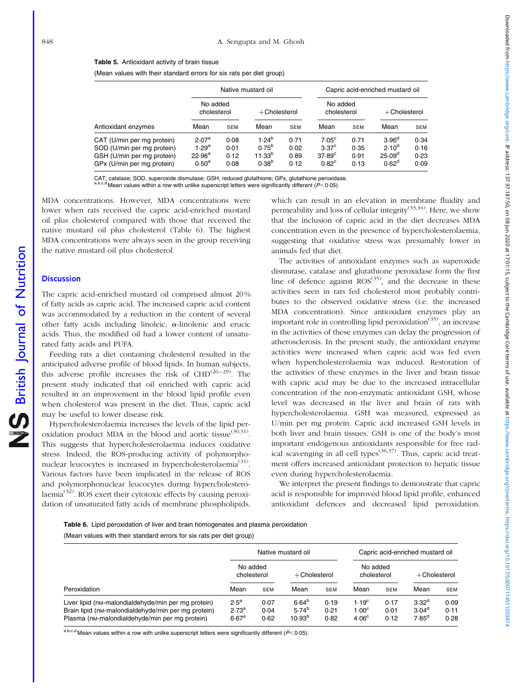<span id="page-3-0"></span>(Mean values with their standard errors for six rats per diet group)

|                                                                                                                      |                                                                                |                              | Native mustard oil                                                  |                              | Capric acid-enriched mustard oil                                            |                              |                                                                             |                              |  |
|----------------------------------------------------------------------------------------------------------------------|--------------------------------------------------------------------------------|------------------------------|---------------------------------------------------------------------|------------------------------|-----------------------------------------------------------------------------|------------------------------|-----------------------------------------------------------------------------|------------------------------|--|
|                                                                                                                      | No added<br>cholesterol                                                        |                              | $+$ Cholesterol                                                     |                              | No added<br>cholesterol                                                     |                              | $+$ Cholesterol                                                             |                              |  |
| Antioxidant enzymes                                                                                                  | Mean                                                                           | <b>SEM</b>                   | Mean                                                                | <b>SEM</b>                   | Mean                                                                        | <b>SEM</b>                   | Mean                                                                        | SEM                          |  |
| CAT (U/min per mg protein)<br>SOD (U/min per mg protein)<br>GSH (U/min per mg protein)<br>GPx (U/min per mg protein) | 2.07 <sup>a</sup><br>1.29 <sup>a</sup><br>22.96 <sup>a</sup><br>$0.50^{\rm a}$ | 0.08<br>0.01<br>0.12<br>0.08 | 1.24 <sup>b</sup><br>$0.75^{b}$<br>11.33 <sup>b</sup><br>$0.38^{b}$ | 0.71<br>0.02<br>0.89<br>0.12 | 7.05 <sup>c</sup><br>3.37 <sup>c</sup><br>$37.89^{\circ}$<br>$0.82^{\circ}$ | 0.71<br>0.35<br>0.91<br>0.13 | 3.96 <sup>d</sup><br>2.10 <sup>d</sup><br>$25.09^{\circ}$<br>$0.62^{\circ}$ | 0.34<br>0.16<br>0.23<br>0.09 |  |

CAT, catalase; SOD, superoxide dismutase; GSH, reduced glutathione; GPx, glutathione peroxidase.

 $b,c,d$  Mean values within a row with unlike superscript letters were significantly different (P<0.05).

MDA concentrations. However, MDA concentrations were lower when rats received the capric acid-enriched mustard oil plus cholesterol compared with those that received the native mustard oil plus cholesterol (Table 6). The highest MDA concentrations were always seen in the group receiving the native mustard oil plus cholesterol.

# **Discussion**

British Journal of Nutrition

**S** British Journal of Nutrition

The capric acid-enriched mustard oil comprised almost 20 % of fatty acids as capric acid. The increased capric acid content was accommodated by a reduction in the content of several other fatty acids including linoleic,  $\alpha$ -linolenic and erucic acids. Thus, the modified oil had a lower content of unsaturated fatty acids and PUFA.

Feeding rats a diet containing cholesterol resulted in the anticipated adverse profile of blood lipids. In human subjects, this adverse profile increases the risk of  $CHD<sup>(26-29)</sup>$ . The present study indicated that oil enriched with capric acid resulted in an improvement in the blood lipid profile even when cholesterol was present in the diet. Thus, capric acid may be useful to lower disease risk.

Hypercholesterolaemia increases the levels of the lipid peroxidation product MDA in the blood and aortic tissue<sup>(30,31)</sup>. This suggests that hypercholesterolaemia induces oxidative stress. Indeed, the ROS-producing activity of polymorphonuclear leucocytes is increased in hypercholesterolaemia<sup>(31)</sup>. Various factors have been implicated in the release of ROS and polymorphonuclear leucocytes during hypercholesterolaemia(32). ROS exert their cytotoxic effects by causing peroxidation of unsaturated fatty acids of membrane phospholipids,

which can result in an elevation in membrane fluidity and permeability and loss of cellular integrity<sup>(33,34)</sup>. Here, we show that the inclusion of capric acid in the diet decreases MDA concentration even in the presence of hypercholesterolaemia, suggesting that oxidative stress was presumably lower in animals fed that diet.

The activities of antioxidant enzymes such as superoxide dismutase, catalase and glutathione peroxidase form the first line of defence against  $ROS^{(35)}$ , and the decrease in these activities seen in rats fed cholesterol most probably contributes to the observed oxidative stress (i.e. the increased MDA concentration). Since antioxidant enzymes play an important role in controlling lipid peroxidation<sup> $(35)$ </sup>, an increase in the activities of these enzymes can delay the progression of atherosclerosis. In the present study, the antioxidant enzyme activities were increased when capric acid was fed even when hypercholesterolaemia was induced. Restoration of the activities of these enzymes in the liver and brain tissue with capric acid may be due to the increased intracellular concentration of the non-enzymatic antioxidant GSH, whose level was decreased in the liver and brain of rats with hypercholesterolaemia. GSH was measured, expressed as U/min per mg protein. Capric acid increased GSH levels in both liver and brain tissues. GSH is one of the body's most important endogenous antioxidants responsible for free radical scavenging in all cell types<sup> $(36,37)$ </sup>. Thus, capric acid treatment offers increased antioxidant protection to hepatic tissue even during hypercholesterolaemia.

We interpret the present findings to demonstrate that capric acid is responsible for improved blood lipid profile, enhanced antioxidant defences and decreased lipid peroxidation.

Table 6. Lipid peroxidation of liver and brain homogenates and plasma peroxidation (Mean values with their standard errors for six rats per diet group)

|                                                                                                                                                              | Native mustard oil                                |                      |                                         |                      | Capric acid-enriched mustard oil                            |                      |                                                    |                      |
|--------------------------------------------------------------------------------------------------------------------------------------------------------------|---------------------------------------------------|----------------------|-----------------------------------------|----------------------|-------------------------------------------------------------|----------------------|----------------------------------------------------|----------------------|
|                                                                                                                                                              | No added<br>cholesterol                           |                      | $+$ Cholesterol                         |                      | No added<br>cholesterol                                     |                      | $+$ Cholesterol                                    |                      |
| Peroxidation                                                                                                                                                 | Mean                                              | <b>SEM</b>           | Mean                                    | <b>SEM</b>           | Mean                                                        | <b>SEM</b>           | Mean                                               | <b>SEM</b>           |
| Liver lipid (nM-malondialdehyde/min per mg protein)<br>Brain lipid (nM-malondialdehyde/min per mg protein)<br>Plasma (nm-malondialdehyde/min per mg protein) | $2.5^a$<br>2.73 <sup>a</sup><br>6.67 <sup>a</sup> | 0.07<br>0.04<br>0.62 | $6.64^{b}$<br>$5.74^{b}$<br>$10.93^{b}$ | 0.19<br>0.21<br>0.82 | 1.19 <sup>c</sup><br>1.00 <sup>c</sup><br>4.06 <sup>c</sup> | 0.17<br>0.01<br>0.12 | 3.32 <sup>d</sup><br>3.04 <sup>d</sup><br>$7.85^d$ | 0.09<br>0.11<br>0.28 |

a,b,c,d Mean values within a row with unlike superscript letters were significantly different ( $P$ < 0.05).